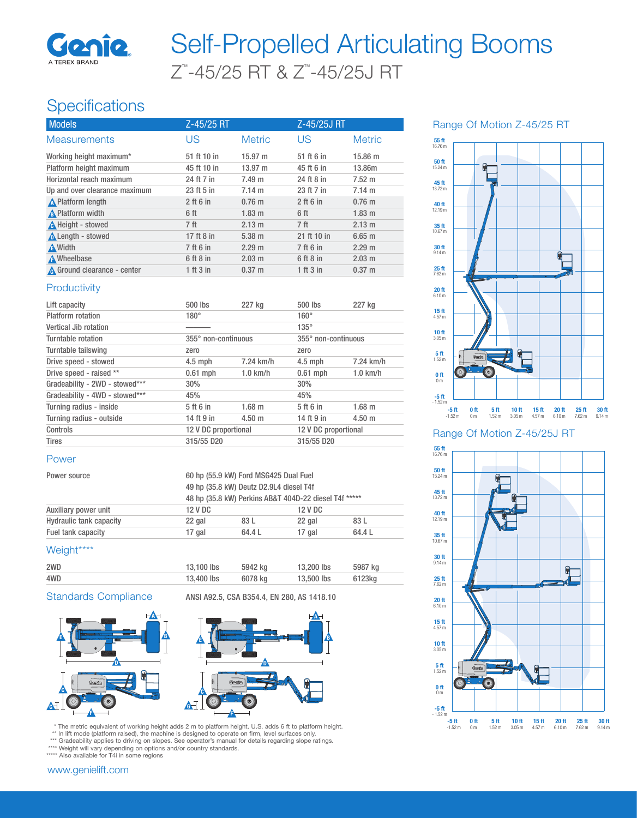

# Z™ -45/25 RT & Z™ -45/25J RT Self-Propelled Articulating Booms

## **Specifications**

| <b>Models</b>                 | Z-45/25 RT      |                   | Z-45/25J RT     |                  |
|-------------------------------|-----------------|-------------------|-----------------|------------------|
| <b>Measurements</b>           | US              | <b>Metric</b>     | US              | <b>Metric</b>    |
| Working height maximum*       | 51 ft 10 in     | $15.97 \text{ m}$ | 51 ft 6 in      | 15.86 m          |
| Platform height maximum       | 45 ft 10 in     | $13.97 \; m$      | 45 ft 6 in      | 13.86m           |
| Horizontal reach maximum      | 24 ft 7 in      | 7.49 m            | 24 ft 8 in      | $7.52 \text{ m}$ |
| Up and over clearance maximum | 23 ft 5 in      | $7.14 \text{ m}$  | 23 ft 7 in      | $7.14 \text{ m}$ |
| <b>A</b> Platform length      | $2$ ft 6 in     | $0.76$ m          | $2$ ft 6 in     | $0.76$ m         |
| A Platform width              | 6 ft            | $1.83 \text{ m}$  | 6 ft            | $1.83$ m         |
| A Height - stowed             | 7 <sup>ft</sup> | 2.13 m            | 7 <sup>ft</sup> | 2.13 m           |
| Length - stowed               | 17 ft 8 in      | $5.38 \; m$       | 21 ft 10 in     | $6.65$ m         |
| <b>A</b> Width                | 7 ft 6 in       | 2.29 m            | 7 ft 6 in       | 2.29 m           |
| <b>A</b> Wheelbase            | 6 ft 8 in       | $2.03 \text{ m}$  | 6 ft 8 in       | $2.03 \text{ m}$ |
| A Ground clearance - center   | 1 ft 3 in       | $0.37 \; m$       | 1 ft 3 in       | $0.37 \; m$      |

#### **Productivity**

| Lift capacity                  | 500 lbs              | 227 kg           | $500$ lbs            | 227 kg      |
|--------------------------------|----------------------|------------------|----------------------|-------------|
| Platform rotation              | $180^\circ$          |                  | $160^\circ$          |             |
| Vertical Jib rotation          |                      |                  | $135^\circ$          |             |
| Turntable rotation             | 355° non-continuous  |                  | 355° non-continuous  |             |
| Turntable tailswing            | zero                 |                  | zero                 |             |
| Drive speed - stowed           | $4.5$ mph            | 7.24 km/h        | $4.5$ mph            | 7.24 km/h   |
| Drive speed - raised **        | $0.61$ mph           | $1.0$ km/h       | $0.61$ mph           | $1.0$ km/h  |
| Gradeability - 2WD - stowed*** | 30%                  |                  | 30%                  |             |
| Gradeability - 4WD - stowed*** | 45%                  |                  | 45%                  |             |
| Turning radius - inside        | 5 ft 6 in            | $1.68$ m         | 5 ft 6 in            | $1.68$ m    |
| Turning radius - outside       | 14 ft 9 in           | $4.50 \;{\rm m}$ | 14 ft 9 in           | $4.50 \; m$ |
| Controls                       | 12 V DC proportional |                  | 12 V DC proportional |             |
| <b>Tires</b>                   | 315/55 D20           |                  | 315/55 D20           |             |

#### Power

| Power source                   |         | 60 hp (55.9 kW) Ford MSG425 Dual Fuel                 |         |        |  |
|--------------------------------|---------|-------------------------------------------------------|---------|--------|--|
|                                |         | 49 hp (35.8 kW) Deutz D2.9L4 diesel T4f               |         |        |  |
|                                |         | 48 hp (35.8 kW) Perkins AB&T 404D-22 diesel T4f ***** |         |        |  |
| Auxiliary power unit           | 12 V DC |                                                       | 12 V DC |        |  |
| <b>Hydraulic tank capacity</b> | 22 gal  | 83 L                                                  | 22 gal  | 83 L   |  |
| Fuel tank capacity             | 17 gal  | 64.4 L                                                | 17 gal  | 64.4 L |  |

### Weight\*\*\*\*

| 2WD | 13,100 lbs | 5942 ka | 13,200 lbs | 5987 kg |
|-----|------------|---------|------------|---------|
| 4WD | 13,400 lbs | 6078 ka | 13,500 lbs | 6123ka  |

Standards Compliance ANSI A92.5, CSA B354.4, EN 280, AS 1418.10





\* The metric equivalent of working height adds 2 m to platform height. U.S. adds 6 ft to platform height.<br>\*\* In lift mode (platform raised), the machine is designed to operate on firm, level surfaces only.<br>\*\*\* Gradeability

\*\*\*\* Weight will vary depending on options and/or country standards. \*\*\*\*\* Also available for T4i in some regions



Range Of Motion Z-45/25J RT

-5 ft 0 ft 5 ft 10 ft 15 ft 20 ft 25 ft 30 ft 15 ft 30 ft 30 ft -1.52 m 0 m 1.52 m 3.05 m 4.57 m 6.10 m 7.62 m 9.14 m



#### www.genielift.com